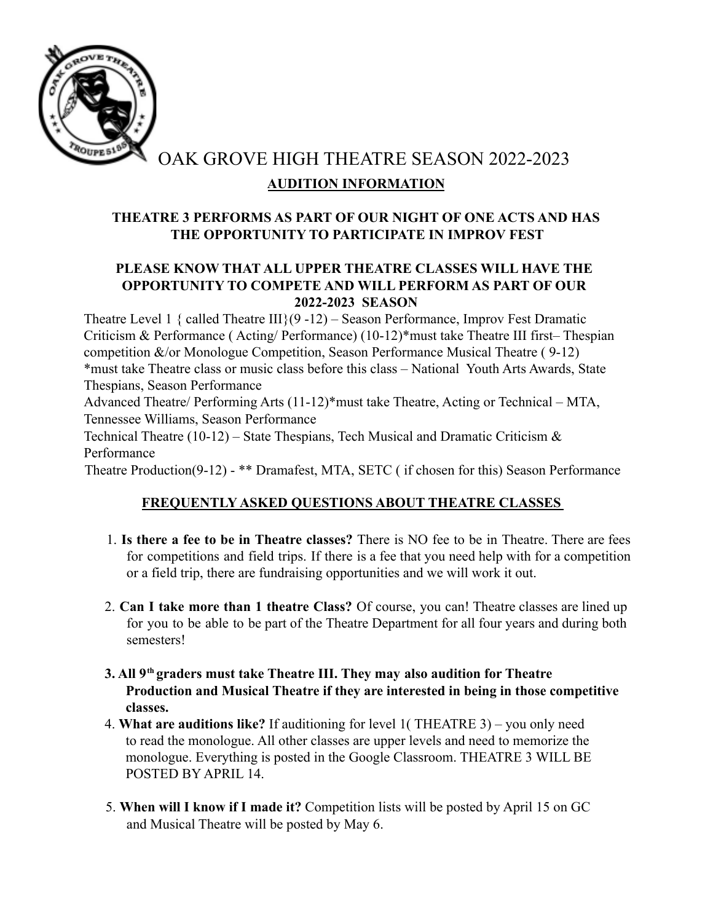

OAK GROVE HIGH THEATRE SEASON 2022-2023 **AUDITION INFORMATION**

## **THEATRE 3 PERFORMS AS PART OF OUR NIGHT OF ONE ACTS AND HAS THE OPPORTUNITY TO PARTICIPATE IN IMPROV FEST**

## **PLEASE KNOW THAT ALL UPPER THEATRE CLASSES WILL HAVE THE OPPORTUNITY TO COMPETE AND WILL PERFORM AS PART OF OUR 2022-2023 SEASON**

Theatre Level 1 { called Theatre  $III$ }(9 -12) – Season Performance, Improv Fest Dramatic Criticism & Performance ( Acting/ Performance) (10-12)\*must take Theatre III first– Thespian competition &/or Monologue Competition, Season Performance Musical Theatre ( 9-12) \*must take Theatre class or music class before this class – National Youth Arts Awards, State Thespians, Season Performance

Advanced Theatre/ Performing Arts (11-12)\*must take Theatre, Acting or Technical – MTA, Tennessee Williams, Season Performance

Technical Theatre (10-12) – State Thespians, Tech Musical and Dramatic Criticism  $\&$ Performance

Theatre Production(9-12) - \*\* Dramafest, MTA, SETC ( if chosen for this) Season Performance

# **FREQUENTLY ASKED QUESTIONS ABOUT THEATRE CLASSES**

- 1. **Is there a fee to be in Theatre classes?** There is NO fee to be in Theatre. There are fees for competitions and field trips. If there is a fee that you need help with for a competition or a field trip, there are fundraising opportunities and we will work it out.
- 2. **Can I take more than 1 theatre Class?** Of course, you can! Theatre classes are lined up for you to be able to be part of the Theatre Department for all four years and during both semesters!
- **3. All 9th graders must take Theatre III. They may also audition for Theatre Production and Musical Theatre if they are interested in being in those competitive classes.**
- 4. **What are auditions like?** If auditioning for level 1( THEATRE 3) you only need to read the monologue. All other classes are upper levels and need to memorize the monologue. Everything is posted in the Google Classroom. THEATRE 3 WILL BE POSTED BY APRIL 14.
- 5. **When will I know if I made it?** Competition lists will be posted by April 15 on GC and Musical Theatre will be posted by May 6.